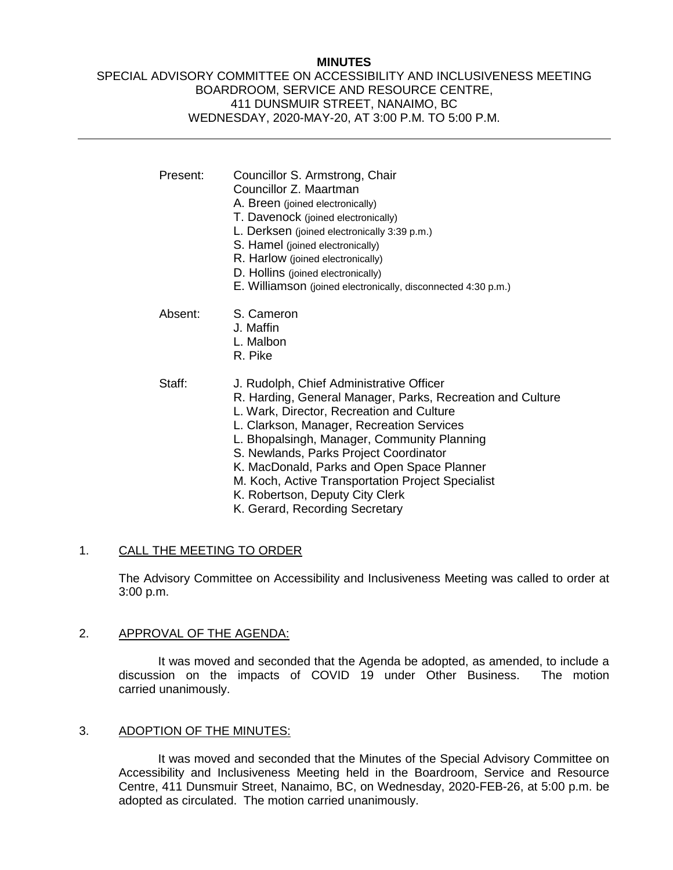### **MINUTES**

### SPECIAL ADVISORY COMMITTEE ON ACCESSIBILITY AND INCLUSIVENESS MEETING BOARDROOM, SERVICE AND RESOURCE CENTRE, 411 DUNSMUIR STREET, NANAIMO, BC WEDNESDAY, 2020-MAY-20, AT 3:00 P.M. TO 5:00 P.M.

| Present: | Councillor S. Armstrong, Chair<br>Councillor Z. Maartman<br>A. Breen (joined electronically)<br>T. Davenock (joined electronically)<br>L. Derksen (joined electronically 3:39 p.m.)<br>S. Hamel (joined electronically)<br>R. Harlow (joined electronically)<br>D. Hollins (joined electronically)<br>E. Williamson (joined electronically, disconnected 4:30 p.m.)                                                             |
|----------|---------------------------------------------------------------------------------------------------------------------------------------------------------------------------------------------------------------------------------------------------------------------------------------------------------------------------------------------------------------------------------------------------------------------------------|
| Absent:  | S. Cameron<br>J. Maffin<br>L. Malbon<br>R. Pike                                                                                                                                                                                                                                                                                                                                                                                 |
| Staff:   | J. Rudolph, Chief Administrative Officer<br>R. Harding, General Manager, Parks, Recreation and Culture<br>L. Wark, Director, Recreation and Culture<br>L. Clarkson, Manager, Recreation Services<br>L. Bhopalsingh, Manager, Community Planning<br>S. Newlands, Parks Project Coordinator<br>K. MacDonald, Parks and Open Space Planner<br>M. Koch, Active Transportation Project Specialist<br>K. Robertson, Deputy City Clerk |

K. Gerard, Recording Secretary

# 1. CALL THE MEETING TO ORDER

The Advisory Committee on Accessibility and Inclusiveness Meeting was called to order at 3:00 p.m.

#### 2. APPROVAL OF THE AGENDA:

It was moved and seconded that the Agenda be adopted, as amended, to include a discussion on the impacts of COVID 19 under Other Business. The motion carried unanimously.

#### 3. ADOPTION OF THE MINUTES:

It was moved and seconded that the Minutes of the Special Advisory Committee on Accessibility and Inclusiveness Meeting held in the Boardroom, Service and Resource Centre, 411 Dunsmuir Street, Nanaimo, BC, on Wednesday, 2020-FEB-26, at 5:00 p.m. be adopted as circulated. The motion carried unanimously.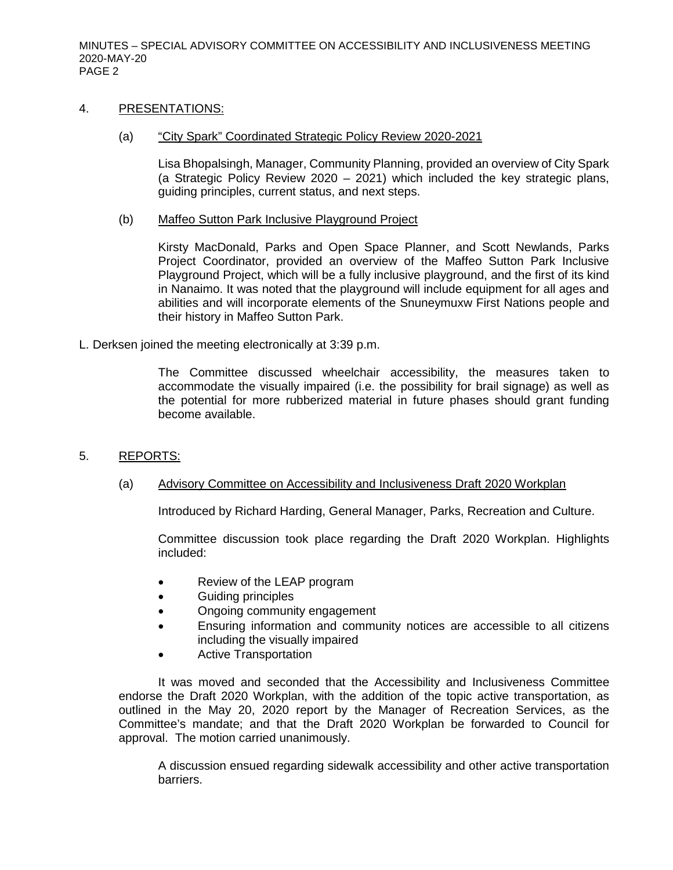MINUTES – SPECIAL ADVISORY COMMITTEE ON ACCESSIBILITY AND INCLUSIVENESS MEETING 2020-MAY-20 PAGE 2

### 4. PRESENTATIONS:

### (a) "City Spark" Coordinated Strategic Policy Review 2020-2021

Lisa Bhopalsingh, Manager, Community Planning, provided an overview of City Spark (a Strategic Policy Review 2020 – 2021) which included the key strategic plans, guiding principles, current status, and next steps.

### (b) Maffeo Sutton Park Inclusive Playground Project

Kirsty MacDonald, Parks and Open Space Planner, and Scott Newlands, Parks Project Coordinator, provided an overview of the Maffeo Sutton Park Inclusive Playground Project, which will be a fully inclusive playground, and the first of its kind in Nanaimo. It was noted that the playground will include equipment for all ages and abilities and will incorporate elements of the Snuneymuxw First Nations people and their history in Maffeo Sutton Park.

L. Derksen joined the meeting electronically at 3:39 p.m.

The Committee discussed wheelchair accessibility, the measures taken to accommodate the visually impaired (i.e. the possibility for brail signage) as well as the potential for more rubberized material in future phases should grant funding become available.

# 5. REPORTS:

### (a) Advisory Committee on Accessibility and Inclusiveness Draft 2020 Workplan

Introduced by Richard Harding, General Manager, Parks, Recreation and Culture.

Committee discussion took place regarding the Draft 2020 Workplan. Highlights included:

- Review of the LEAP program
- Guiding principles
- Ongoing community engagement
- Ensuring information and community notices are accessible to all citizens including the visually impaired
- Active Transportation

It was moved and seconded that the Accessibility and Inclusiveness Committee endorse the Draft 2020 Workplan, with the addition of the topic active transportation, as outlined in the May 20, 2020 report by the Manager of Recreation Services, as the Committee's mandate; and that the Draft 2020 Workplan be forwarded to Council for approval. The motion carried unanimously.

A discussion ensued regarding sidewalk accessibility and other active transportation barriers.